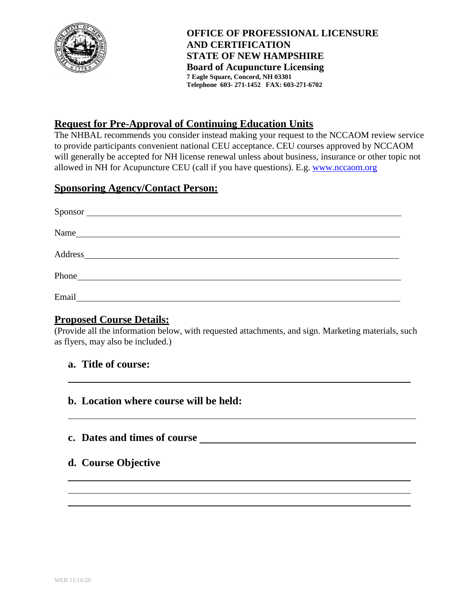

**OFFICE OF PROFESSIONAL LICENSURE AND CERTIFICATION STATE OF NEW HAMPSHIRE Board of Acupuncture Licensing 7 Eagle Square, Concord, NH 03301 Telephone 603- 271-1452 FAX: 603-271-6702**

# **Request for Pre-Approval of Continuing Education Units**

The NHBAL recommends you consider instead making your request to the NCCAOM review service to provide participants convenient national CEU acceptance. CEU courses approved by NCCAOM will generally be accepted for NH license renewal unless about business, insurance or other topic not allowed in NH for Acupuncture CEU (call if you have questions). E.g. [www.nccaom.org](http://www.nccaom.org/)

### **Sponsoring Agency/Contact Person:**

| Sponsor                                                                                                                       |  |
|-------------------------------------------------------------------------------------------------------------------------------|--|
| Name<br><u> 1989 - Johann Stein, mars an t-Amerikaansk kommunist (</u>                                                        |  |
| Address<br><u> 1989 - John Stein, Amerikaansk politiker (</u>                                                                 |  |
| Phone<br><u> 1980 - Jan Stein Stein Stein Stein Stein Stein Stein Stein Stein Stein Stein Stein Stein Stein Stein Stein S</u> |  |
| Email                                                                                                                         |  |

## **Proposed Course Details:**

(Provide all the information below, with requested attachments, and sign. Marketing materials, such as flyers, may also be included.)

#### **a. Title of course:**

#### **b. Location where course will be held:**

#### **c. Dates and times of course**

## **d. Course Objective**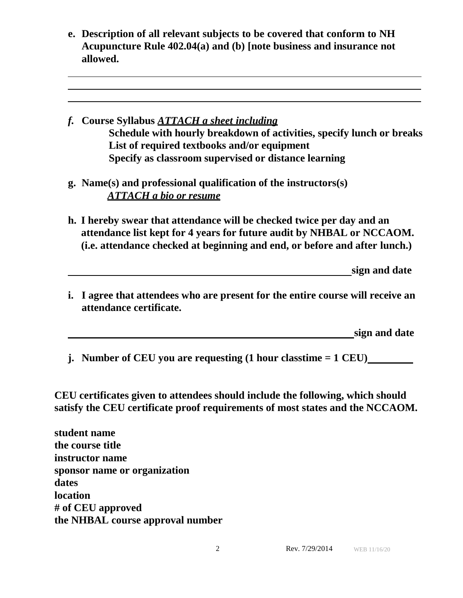- **e. Description of all relevant subjects to be covered that conform to NH Acupuncture Rule 402.04(a) and (b) [note business and insurance not allowed.**
- *f.* **Course Syllabus** *ATTACH a sheet including* **Schedule with hourly breakdown of activities, specify lunch or breaks List of required textbooks and/or equipment Specify as classroom supervised or distance learning**
- **g. Name(s) and professional qualification of the instructors(s)** *ATTACH a bio or resume*
- **h. I hereby swear that attendance will be checked twice per day and an attendance list kept for 4 years for future audit by NHBAL or NCCAOM. (i.e. attendance checked at beginning and end, or before and after lunch.)**

**sign and date**

**i. I agree that attendees who are present for the entire course will receive an attendance certificate.**

**sign and date**

**j. Number of CEU you are requesting (1 hour classtime = 1 CEU)**

**CEU certificates given to attendees should include the following, which should satisfy the CEU certificate proof requirements of most states and the NCCAOM.**

**student name the course title instructor name sponsor name or organization dates location # of CEU approved the NHBAL course approval number**